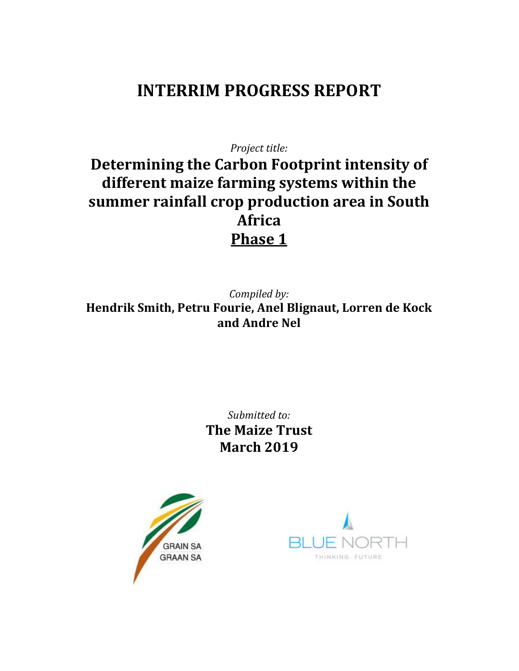# INTERRIM PROGRESS REPORT

Project title:

## Determining the Carbon Footprint intensity of different maize farming systems within the summer rainfall crop production area in South Africa Phase 1

Compiled by: Hendrik Smith, Petru Fourie, Anel Blignaut, Lorren de Kock and Andre Nel

> Submitted to: The Maize Trust March 2019



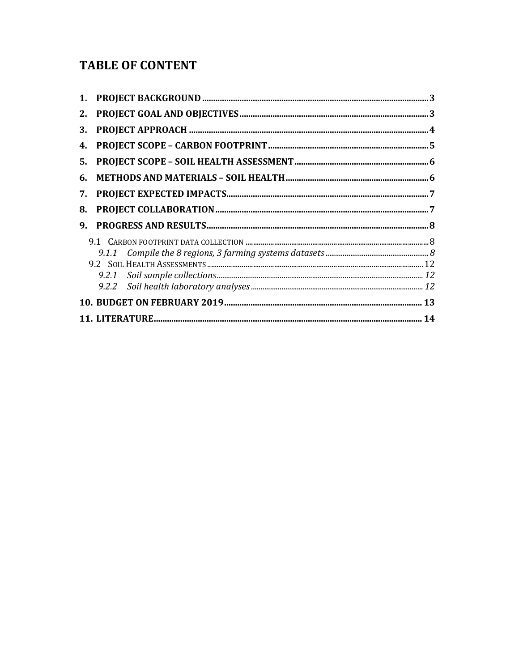## **TABLE OF CONTENT**

| 2. |  |
|----|--|
| 3. |  |
| 4. |  |
| 5. |  |
| 6. |  |
| 7. |  |
| 8. |  |
| 9. |  |
|    |  |
|    |  |
|    |  |
|    |  |
|    |  |
|    |  |
|    |  |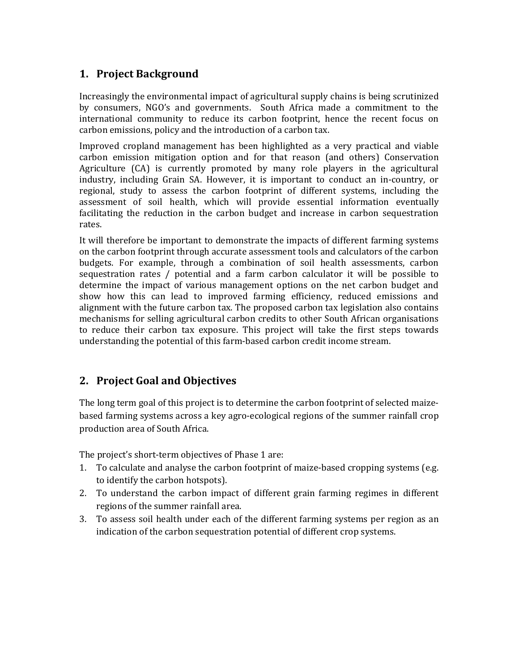## 1. Project Background

Increasingly the environmental impact of agricultural supply chains is being scrutinized by consumers, NGO's and governments. South Africa made a commitment to the international community to reduce its carbon footprint, hence the recent focus on carbon emissions, policy and the introduction of a carbon tax.

Improved cropland management has been highlighted as a very practical and viable carbon emission mitigation option and for that reason (and others) Conservation Agriculture (CA) is currently promoted by many role players in the agricultural industry, including Grain SA. However, it is important to conduct an in-country, or regional, study to assess the carbon footprint of different systems, including the assessment of soil health, which will provide essential information eventually facilitating the reduction in the carbon budget and increase in carbon sequestration rates.

It will therefore be important to demonstrate the impacts of different farming systems on the carbon footprint through accurate assessment tools and calculators of the carbon budgets. For example, through a combination of soil health assessments, carbon sequestration rates / potential and a farm carbon calculator it will be possible to determine the impact of various management options on the net carbon budget and show how this can lead to improved farming efficiency, reduced emissions and alignment with the future carbon tax. The proposed carbon tax legislation also contains mechanisms for selling agricultural carbon credits to other South African organisations to reduce their carbon tax exposure. This project will take the first steps towards understanding the potential of this farm-based carbon credit income stream.

## 2. Project Goal and Objectives

The long term goal of this project is to determine the carbon footprint of selected maizebased farming systems across a key agro-ecological regions of the summer rainfall crop production area of South Africa.

The project's short-term objectives of Phase 1 are:

- 1. To calculate and analyse the carbon footprint of maize-based cropping systems (e.g. to identify the carbon hotspots).
- 2. To understand the carbon impact of different grain farming regimes in different regions of the summer rainfall area.
- 3. To assess soil health under each of the different farming systems per region as an indication of the carbon sequestration potential of different crop systems.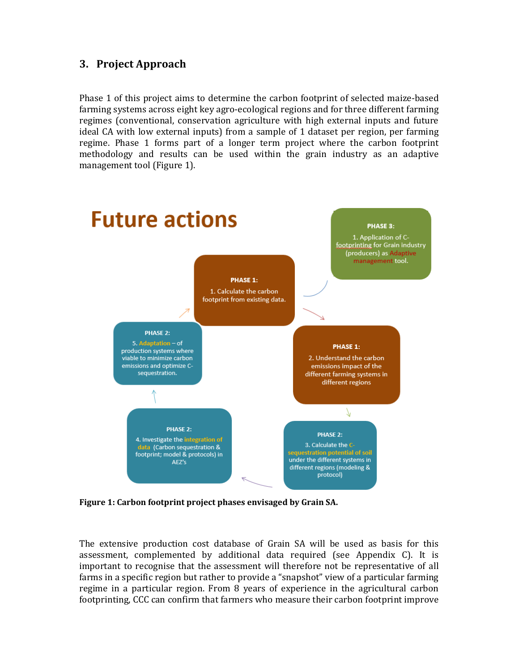## 3. Project Approach

Phase 1 of this project aims to determine the carbon footprint of selected maize-based farming systems across eight key agro-ecological regions and for three different farming regimes (conventional, conservation agriculture with high external inputs and future ideal CA with low external inputs) from a sample of 1 dataset per region, per farming regime. Phase 1 forms part of a longer term project where the carbon footprint methodology and results can be used within the grain industry as an adaptive management tool (Figure 1).



Figure 1: Carbon footprint project phases envisaged by Grain SA.

The extensive production cost database of Grain SA will be used as basis for this assessment, complemented by additional data required (see Appendix C). It is important to recognise that the assessment will therefore not be representative of all farms in a specific region but rather to provide a "snapshot" view of a particular farming regime in a particular region. From 8 years of experience in the agricultural carbon footprinting, CCC can confirm that farmers who measure their carbon footprint improve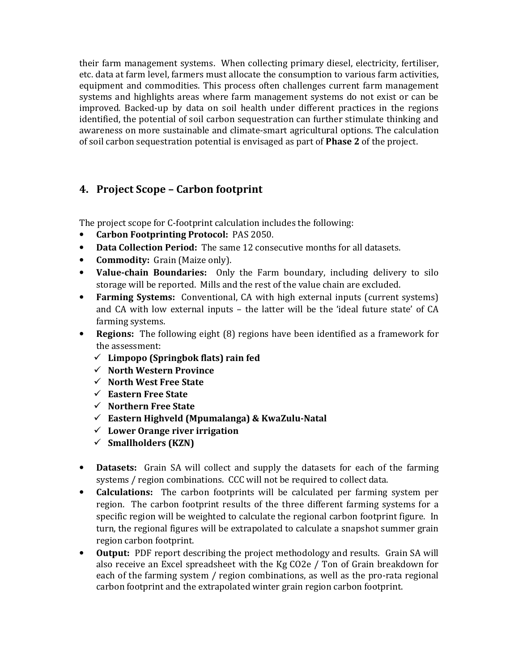their farm management systems. When collecting primary diesel, electricity, fertiliser, etc. data at farm level, farmers must allocate the consumption to various farm activities, equipment and commodities. This process often challenges current farm management systems and highlights areas where farm management systems do not exist or can be improved. Backed-up by data on soil health under different practices in the regions identified, the potential of soil carbon sequestration can further stimulate thinking and awareness on more sustainable and climate-smart agricultural options. The calculation of soil carbon sequestration potential is envisaged as part of Phase 2 of the project.

## 4. Project Scope – Carbon footprint

The project scope for C-footprint calculation includes the following:

- Carbon Footprinting Protocol: PAS 2050.
- Data Collection Period: The same 12 consecutive months for all datasets.
- **Commodity:** Grain (Maize only).
- Value-chain Boundaries: Only the Farm boundary, including delivery to silo storage will be reported. Mills and the rest of the value chain are excluded.
- Farming Systems: Conventional, CA with high external inputs (current systems) and CA with low external inputs – the latter will be the 'ideal future state' of CA farming systems.
- Regions: The following eight (8) regions have been identified as a framework for the assessment:
	- $\checkmark$  Limpopo (Springbok flats) rain fed
	- $\checkmark$  North Western Province
	- $\checkmark$  North West Free State
	- $\checkmark$  Eastern Free State
	- $\checkmark$  Northern Free State
	- $\checkmark$  Eastern Highveld (Mpumalanga) & KwaZulu-Natal
	- $\checkmark$  Lower Orange river irrigation
	- $\checkmark$  Smallholders (KZN)
- Datasets: Grain SA will collect and supply the datasets for each of the farming systems / region combinations. CCC will not be required to collect data.
- Calculations: The carbon footprints will be calculated per farming system per region. The carbon footprint results of the three different farming systems for a specific region will be weighted to calculate the regional carbon footprint figure. In turn, the regional figures will be extrapolated to calculate a snapshot summer grain region carbon footprint.
- Output: PDF report describing the project methodology and results. Grain SA will also receive an Excel spreadsheet with the Kg CO2e / Ton of Grain breakdown for each of the farming system / region combinations, as well as the pro-rata regional carbon footprint and the extrapolated winter grain region carbon footprint.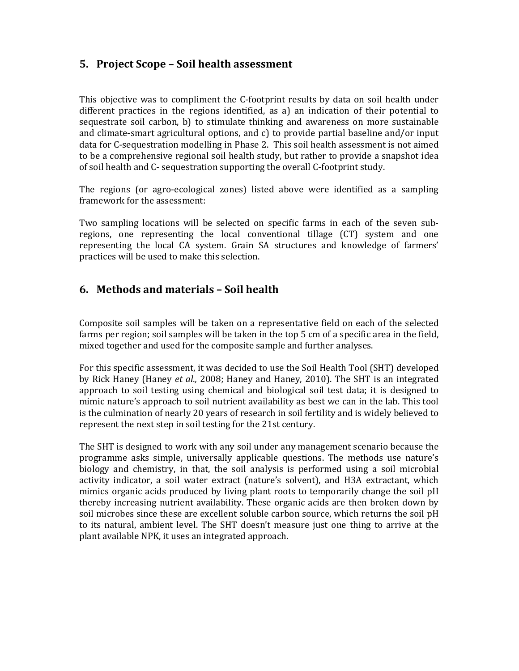### 5. Project Scope – Soil health assessment

This objective was to compliment the C-footprint results by data on soil health under different practices in the regions identified, as a) an indication of their potential to sequestrate soil carbon, b) to stimulate thinking and awareness on more sustainable and climate-smart agricultural options, and c) to provide partial baseline and/or input data for C-sequestration modelling in Phase 2. This soil health assessment is not aimed to be a comprehensive regional soil health study, but rather to provide a snapshot idea of soil health and C- sequestration supporting the overall C-footprint study.

The regions (or agro-ecological zones) listed above were identified as a sampling framework for the assessment:

Two sampling locations will be selected on specific farms in each of the seven subregions, one representing the local conventional tillage (CT) system and one representing the local CA system. Grain SA structures and knowledge of farmers' practices will be used to make this selection.

### 6. Methods and materials – Soil health

Composite soil samples will be taken on a representative field on each of the selected farms per region; soil samples will be taken in the top 5 cm of a specific area in the field, mixed together and used for the composite sample and further analyses.

For this specific assessment, it was decided to use the Soil Health Tool (SHT) developed by Rick Haney (Haney et al., 2008; Haney and Haney, 2010). The SHT is an integrated approach to soil testing using chemical and biological soil test data; it is designed to mimic nature's approach to soil nutrient availability as best we can in the lab. This tool is the culmination of nearly 20 years of research in soil fertility and is widely believed to represent the next step in soil testing for the 21st century.

The SHT is designed to work with any soil under any management scenario because the programme asks simple, universally applicable questions. The methods use nature's biology and chemistry, in that, the soil analysis is performed using a soil microbial activity indicator, a soil water extract (nature's solvent), and H3A extractant, which mimics organic acids produced by living plant roots to temporarily change the soil pH thereby increasing nutrient availability. These organic acids are then broken down by soil microbes since these are excellent soluble carbon source, which returns the soil pH to its natural, ambient level. The SHT doesn't measure just one thing to arrive at the plant available NPK, it uses an integrated approach.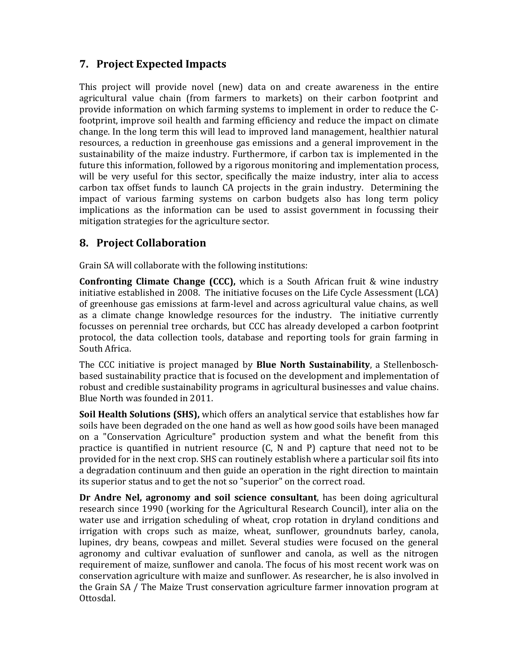## 7. Project Expected Impacts

This project will provide novel (new) data on and create awareness in the entire agricultural value chain (from farmers to markets) on their carbon footprint and provide information on which farming systems to implement in order to reduce the Cfootprint, improve soil health and farming efficiency and reduce the impact on climate change. In the long term this will lead to improved land management, healthier natural resources, a reduction in greenhouse gas emissions and a general improvement in the sustainability of the maize industry. Furthermore, if carbon tax is implemented in the future this information, followed by a rigorous monitoring and implementation process, will be very useful for this sector, specifically the maize industry, inter alia to access carbon tax offset funds to launch CA projects in the grain industry. Determining the impact of various farming systems on carbon budgets also has long term policy implications as the information can be used to assist government in focussing their mitigation strategies for the agriculture sector.

## 8. Project Collaboration

Grain SA will collaborate with the following institutions:

Confronting Climate Change (CCC), which is a South African fruit & wine industry initiative established in 2008. The initiative focuses on the Life Cycle Assessment (LCA) of greenhouse gas emissions at farm-level and across agricultural value chains, as well as a climate change knowledge resources for the industry. The initiative currently focusses on perennial tree orchards, but CCC has already developed a carbon footprint protocol, the data collection tools, database and reporting tools for grain farming in South Africa.

The CCC initiative is project managed by Blue North Sustainability, a Stellenboschbased sustainability practice that is focused on the development and implementation of robust and credible sustainability programs in agricultural businesses and value chains. Blue North was founded in 2011.

Soil Health Solutions (SHS), which offers an analytical service that establishes how far soils have been degraded on the one hand as well as how good soils have been managed on a "Conservation Agriculture" production system and what the benefit from this practice is quantified in nutrient resource (C, N and P) capture that need not to be provided for in the next crop. SHS can routinely establish where a particular soil fits into a degradation continuum and then guide an operation in the right direction to maintain its superior status and to get the not so "superior" on the correct road.

Dr Andre Nel, agronomy and soil science consultant, has been doing agricultural research since 1990 (working for the Agricultural Research Council), inter alia on the water use and irrigation scheduling of wheat, crop rotation in dryland conditions and irrigation with crops such as maize, wheat, sunflower, groundnuts barley, canola, lupines, dry beans, cowpeas and millet. Several studies were focused on the general agronomy and cultivar evaluation of sunflower and canola, as well as the nitrogen requirement of maize, sunflower and canola. The focus of his most recent work was on conservation agriculture with maize and sunflower. As researcher, he is also involved in the Grain SA / The Maize Trust conservation agriculture farmer innovation program at Ottosdal.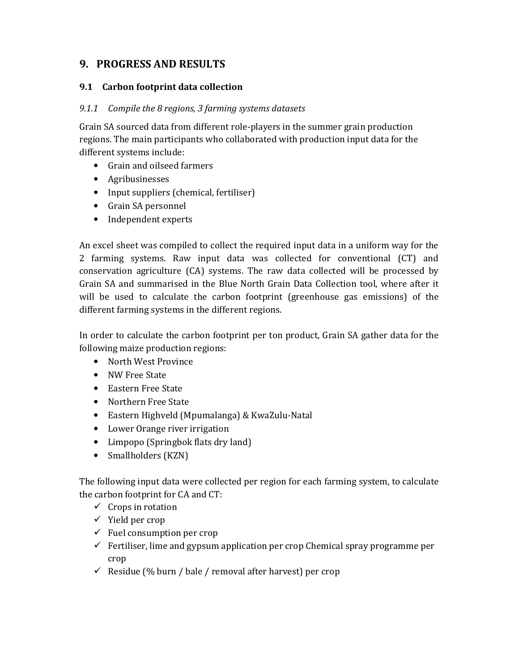## 9. PROGRESS AND RESULTS

#### 9.1 Carbon footprint data collection

#### 9.1.1 Compile the 8 regions, 3 farming systems datasets

Grain SA sourced data from different role-players in the summer grain production regions. The main participants who collaborated with production input data for the different systems include:

- Grain and oilseed farmers
- Agribusinesses
- Input suppliers (chemical, fertiliser)
- Grain SA personnel
- Independent experts

An excel sheet was compiled to collect the required input data in a uniform way for the 2 farming systems. Raw input data was collected for conventional (CT) and conservation agriculture (CA) systems. The raw data collected will be processed by Grain SA and summarised in the Blue North Grain Data Collection tool, where after it will be used to calculate the carbon footprint (greenhouse gas emissions) of the different farming systems in the different regions.

In order to calculate the carbon footprint per ton product, Grain SA gather data for the following maize production regions:

- North West Province
- NW Free State
- Eastern Free State
- Northern Free State
- Eastern Highveld (Mpumalanga) & KwaZulu-Natal
- Lower Orange river irrigation
- Limpopo (Springbok flats dry land)
- Smallholders (KZN)

The following input data were collected per region for each farming system, to calculate the carbon footprint for CA and CT:

- $\checkmark$  Crops in rotation
- $\checkmark$  Yield per crop
- $\checkmark$  Fuel consumption per crop
- $\checkmark$  Fertiliser, lime and gypsum application per crop Chemical spray programme per crop
- $\checkmark$  Residue (% burn / bale / removal after harvest) per crop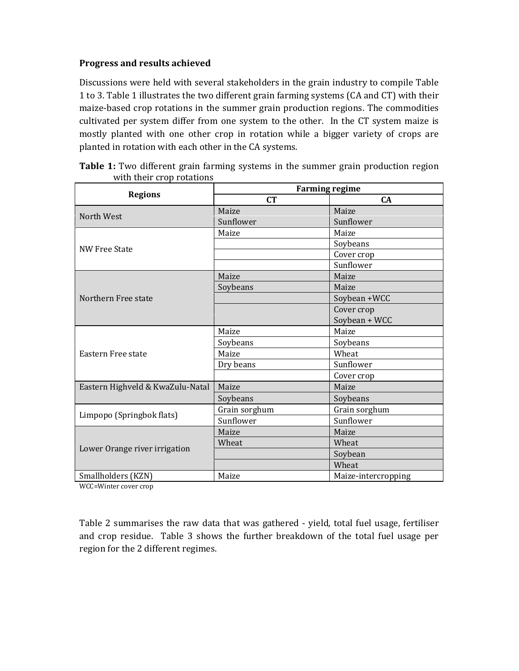#### Progress and results achieved

Discussions were held with several stakeholders in the grain industry to compile Table 1 to 3. Table 1 illustrates the two different grain farming systems (CA and CT) with their maize-based crop rotations in the summer grain production regions. The commodities cultivated per system differ from one system to the other. In the CT system maize is mostly planted with one other crop in rotation while a bigger variety of crops are planted in rotation with each other in the CA systems.

| <b>Regions</b>                   | <b>Farming regime</b> |                     |  |  |  |
|----------------------------------|-----------------------|---------------------|--|--|--|
|                                  | <b>CT</b>             | CA                  |  |  |  |
| North West                       | Maize                 | Maize               |  |  |  |
|                                  | Sunflower             | Sunflower           |  |  |  |
|                                  | Maize                 | Maize               |  |  |  |
| <b>NW Free State</b>             |                       | Soybeans            |  |  |  |
|                                  |                       | Cover crop          |  |  |  |
|                                  |                       | Sunflower           |  |  |  |
|                                  | Maize                 | Maize               |  |  |  |
|                                  | Soybeans              | Maize               |  |  |  |
| Northern Free state              |                       | Soybean +WCC        |  |  |  |
|                                  |                       | Cover crop          |  |  |  |
|                                  |                       | Soybean + WCC       |  |  |  |
|                                  | Maize                 | Maize               |  |  |  |
|                                  | Soybeans              | Soybeans            |  |  |  |
| Eastern Free state               | Maize                 | Wheat               |  |  |  |
|                                  | Dry beans             | Sunflower           |  |  |  |
|                                  |                       | Cover crop          |  |  |  |
| Eastern Highveld & KwaZulu-Natal | Maize                 | Maize               |  |  |  |
|                                  | Soybeans              | Soybeans            |  |  |  |
|                                  | Grain sorghum         | Grain sorghum       |  |  |  |
| Limpopo (Springbok flats)        | Sunflower             | Sunflower           |  |  |  |
|                                  | Maize                 | Maize               |  |  |  |
|                                  | Wheat                 | Wheat               |  |  |  |
| Lower Orange river irrigation    |                       | Soybean             |  |  |  |
|                                  |                       | Wheat               |  |  |  |
| Smallholders (KZN)               | Maize                 | Maize-intercropping |  |  |  |

Table 1: Two different grain farming systems in the summer grain production region with their crop rotations

WCC=Winter cover crop

Table 2 summarises the raw data that was gathered - yield, total fuel usage, fertiliser and crop residue. Table 3 shows the further breakdown of the total fuel usage per region for the 2 different regimes.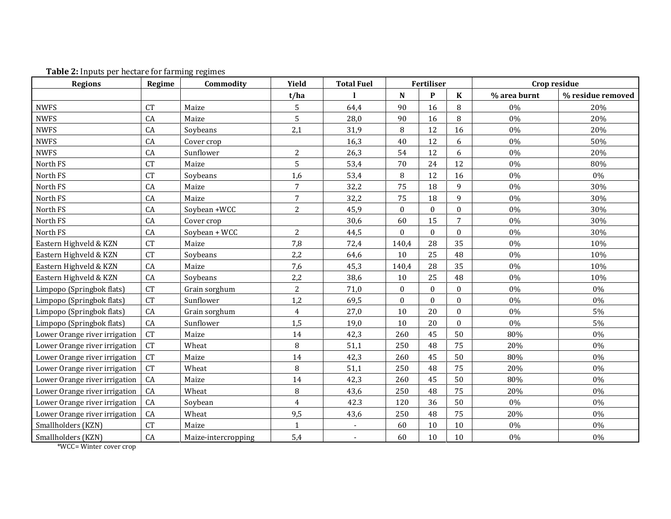| <b>Regions</b>                | Regime    | Commodity           | Yield                   | <b>Total Fuel</b> | Fertiliser   |              |                  | Crop residue |                   |
|-------------------------------|-----------|---------------------|-------------------------|-------------------|--------------|--------------|------------------|--------------|-------------------|
|                               |           |                     | t/ha                    |                   | N            | P            | K                | % area burnt | % residue removed |
| <b>NWFS</b>                   | <b>CT</b> | Maize               | 5                       | 64,4              | 90           | 16           | 8                | 0%           | 20%               |
| <b>NWFS</b>                   | CA        | Maize               | 5                       | 28,0              | 90           | 16           | 8                | 0%           | 20%               |
| <b>NWFS</b>                   | CA        | Soybeans            | 2,1                     | 31,9              | 8            | 12           | 16               | 0%           | 20%               |
| <b>NWFS</b>                   | CA        | Cover crop          |                         | 16,3              | 40           | 12           | 6                | 0%           | 50%               |
| <b>NWFS</b>                   | CA        | Sunflower           | $\overline{c}$          | 26,3              | 54           | 12           | 6                | 0%           | 20%               |
| North FS                      | CT        | Maize               | 5                       | 53,4              | 70           | 24           | 12               | $0\%$        | 80%               |
| North FS                      | <b>CT</b> | Soybeans            | 1,6                     | 53,4              | 8            | 12           | 16               | 0%           | 0%                |
| North FS                      | CA        | Maize               | 7                       | 32,2              | 75           | 18           | 9                | 0%           | 30%               |
| North FS                      | CA        | Maize               | $\overline{7}$          | 32,2              | 75           | 18           | $\boldsymbol{9}$ | $0\%$        | 30%               |
| North FS                      | CA        | Soybean +WCC        | $\overline{2}$          | 45,9              | $\mathbf{0}$ | $\bf{0}$     | $\boldsymbol{0}$ | 0%           | 30%               |
| North FS                      | CA        | Cover crop          |                         | 30,6              | 60           | 15           | 7                | 0%           | 30%               |
| North FS                      | CA        | Soybean + WCC       | $\overline{2}$          | 44,5              | $\Omega$     | $\mathbf{0}$ | $\theta$         | $0\%$        | 30%               |
| Eastern Highveld & KZN        | <b>CT</b> | Maize               | 7,8                     | 72,4              | 140,4        | 28           | 35               | $0\%$        | 10%               |
| Eastern Highveld & KZN        | <b>CT</b> | Soybeans            | 2,2                     | 64,6              | 10           | 25           | 48               | 0%           | 10%               |
| Eastern Highveld & KZN        | CA        | Maize               | 7,6                     | 45,3              | 140,4        | 28           | 35               | 0%           | 10%               |
| Eastern Highveld & KZN        | CA        | Soybeans            | 2,2                     | 38,6              | 10           | 25           | 48               | 0%           | 10%               |
| Limpopo (Springbok flats)     | <b>CT</b> | Grain sorghum       | $\overline{c}$          | 71,0              | $\mathbf{0}$ | $\bf{0}$     | $\boldsymbol{0}$ | $0\%$        | $0\%$             |
| Limpopo (Springbok flats)     | <b>CT</b> | Sunflower           | 1,2                     | 69,5              | $\theta$     | $\mathbf{0}$ | $\theta$         | 0%           | 0%                |
| Limpopo (Springbok flats)     | CA        | Grain sorghum       | 4                       | 27,0              | 10           | 20           | $\theta$         | $0\%$        | 5%                |
| Limpopo (Springbok flats)     | CA        | Sunflower           | 1,5                     | 19,0              | 10           | 20           | $\boldsymbol{0}$ | $0\%$        | 5%                |
| Lower Orange river irrigation | <b>CT</b> | Maize               | 14                      | 42,3              | 260          | 45           | 50               | 80%          | 0%                |
| Lower Orange river irrigation | <b>CT</b> | Wheat               | 8                       | 51,1              | 250          | 48           | 75               | 20%          | 0%                |
| Lower Orange river irrigation | <b>CT</b> | Maize               | 14                      | 42,3              | 260          | 45           | 50               | 80%          | 0%                |
| Lower Orange river irrigation | <b>CT</b> | Wheat               | 8                       | 51,1              | 250          | 48           | 75               | 20%          | 0%                |
| Lower Orange river irrigation | CA        | Maize               | 14                      | 42,3              | 260          | 45           | 50               | 80%          | 0%                |
| Lower Orange river irrigation | CA        | Wheat               | 8                       | 43,6              | 250          | 48           | 75               | 20%          | 0%                |
| Lower Orange river irrigation | CA        | Soybean             | $\overline{\mathbf{4}}$ | 42.3              | 120          | 36           | 50               | 0%           | 0%                |
| Lower Orange river irrigation | CA        | Wheat               | 9,5                     | 43,6              | 250          | 48           | 75               | 20%          | $0\%$             |
| Smallholders (KZN)            | <b>CT</b> | Maize               | $\mathbf{1}$            |                   | 60           | 10           | 10               | 0%           | 0%                |
| Smallholders (KZN)            | CA        | Maize-intercropping | 5,4                     | $\sim$            | 60           | 10           | 10               | $0\%$        | $0\%$             |

#### Table 2: Inputs per hectare for farming regimes

\*WCC= Winter cover crop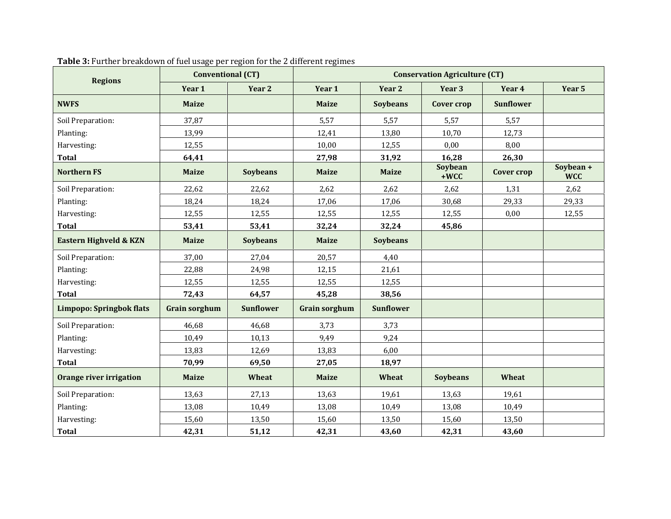| <b>Regions</b>                  | <b>Conventional (CT)</b> |                  | <b>Conservation Agriculture (CT)</b> |                  |                   |                  |                         |  |
|---------------------------------|--------------------------|------------------|--------------------------------------|------------------|-------------------|------------------|-------------------------|--|
|                                 | Year 1                   | Year 2           | Year 1                               | Year 2           | Year 3            | Year 4           | Year 5                  |  |
| <b>NWFS</b>                     | <b>Maize</b>             |                  | <b>Maize</b>                         | <b>Soybeans</b>  | <b>Cover crop</b> | <b>Sunflower</b> |                         |  |
| Soil Preparation:               | 37,87                    |                  | 5,57                                 | 5,57             | 5,57              | 5,57             |                         |  |
| Planting:                       | 13,99                    |                  | 12,41                                | 13,80            | 10,70             | 12,73            |                         |  |
| Harvesting:                     | 12,55                    |                  | 10,00                                | 12,55            | 0,00              | 8,00             |                         |  |
| <b>Total</b>                    | 64,41                    |                  | 27,98                                | 31,92            | 16,28             | 26,30            |                         |  |
| <b>Northern FS</b>              | <b>Maize</b>             | <b>Soybeans</b>  | <b>Maize</b>                         | <b>Maize</b>     | Soybean<br>$+WCC$ | Cover crop       | Soybean +<br><b>WCC</b> |  |
| Soil Preparation:               | 22,62                    | 22,62            | 2,62                                 | 2,62             | 2,62              | 1,31             | 2,62                    |  |
| Planting:                       | 18,24                    | 18,24            | 17,06                                | 17,06            | 30,68             | 29,33            | 29,33                   |  |
| Harvesting:                     | 12,55                    | 12,55            | 12,55                                | 12,55            | 12,55             | 0,00             | 12,55                   |  |
| <b>Total</b>                    | 53,41                    | 53,41            | 32,24                                | 32,24            | 45,86             |                  |                         |  |
| Eastern Highveld & KZN          | <b>Maize</b>             | <b>Soybeans</b>  | <b>Maize</b>                         | <b>Soybeans</b>  |                   |                  |                         |  |
| Soil Preparation:               | 37,00                    | 27,04            | 20,57                                | 4,40             |                   |                  |                         |  |
| Planting:                       | 22,88                    | 24,98            | 12,15                                | 21,61            |                   |                  |                         |  |
| Harvesting:                     | 12,55                    | 12,55            | 12,55                                | 12,55            |                   |                  |                         |  |
| <b>Total</b>                    | 72,43                    | 64,57            | 45,28                                | 38,56            |                   |                  |                         |  |
| <b>Limpopo: Springbok flats</b> | <b>Grain sorghum</b>     | <b>Sunflower</b> | <b>Grain sorghum</b>                 | <b>Sunflower</b> |                   |                  |                         |  |
| Soil Preparation:               | 46,68                    | 46,68            | 3,73                                 | 3,73             |                   |                  |                         |  |
| Planting:                       | 10,49                    | 10,13            | 9,49                                 | 9,24             |                   |                  |                         |  |
| Harvesting:                     | 13,83                    | 12,69            | 13,83                                | 6,00             |                   |                  |                         |  |
| <b>Total</b>                    | 70,99                    | 69,50            | 27,05                                | 18,97            |                   |                  |                         |  |
| Orange river irrigation         | <b>Maize</b>             | Wheat            | <b>Maize</b>                         | Wheat            | <b>Soybeans</b>   | Wheat            |                         |  |
| Soil Preparation:               | 13,63                    | 27,13            | 13,63                                | 19,61            | 13,63             | 19,61            |                         |  |
| Planting:                       | 13,08                    | 10,49            | 13,08                                | 10,49            | 13,08             | 10,49            |                         |  |
| Harvesting:                     | 15,60                    | 13,50            | 15,60                                | 13,50            | 15,60             | 13,50            |                         |  |
| <b>Total</b>                    | 42,31                    | 51,12            | 42,31                                | 43,60            | 42,31             | 43,60            |                         |  |

#### Table 3: Further breakdown of fuel usage per region for the 2 different regimes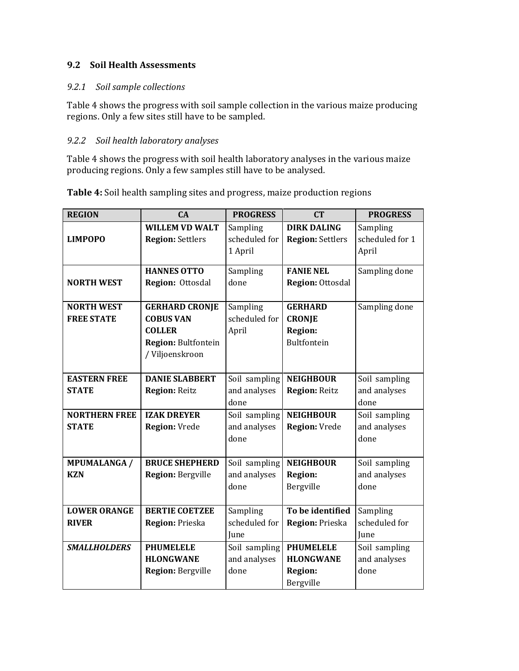#### 9.2 Soil Health Assessments

#### 9.2.1 Soil sample collections

Table 4 shows the progress with soil sample collection in the various maize producing regions. Only a few sites still have to be sampled.

#### 9.2.2 Soil health laboratory analyses

Table 4 shows the progress with soil health laboratory analyses in the various maize producing regions. Only a few samples still have to be analysed.

| <b>REGION</b>        | CA                                                      | <b>PROGRESS</b>                      | <b>CT</b>                                     | <b>PROGRESS</b>                      |
|----------------------|---------------------------------------------------------|--------------------------------------|-----------------------------------------------|--------------------------------------|
| <b>LIMPOPO</b>       | <b>WILLEM VD WALT</b><br><b>Region: Settlers</b>        | Sampling<br>scheduled for<br>1 April | <b>DIRK DALING</b><br><b>Region: Settlers</b> | Sampling<br>scheduled for 1<br>April |
|                      | <b>HANNES OTTO</b>                                      | Sampling                             | <b>FANIE NEL</b>                              | Sampling done                        |
| <b>NORTH WEST</b>    | Region: Ottosdal                                        | done                                 | <b>Region: Ottosdal</b>                       |                                      |
| <b>NORTH WEST</b>    | <b>GERHARD CRONJE</b>                                   | Sampling                             | <b>GERHARD</b>                                | Sampling done                        |
| <b>FREE STATE</b>    | <b>COBUS VAN</b>                                        | scheduled for                        | <b>CRONJE</b>                                 |                                      |
|                      | <b>COLLER</b><br>Region: Bultfontein<br>/ Viljoenskroon | April                                | <b>Region:</b><br>Bultfontein                 |                                      |
| <b>EASTERN FREE</b>  | <b>DANIE SLABBERT</b>                                   | Soil sampling                        | <b>NEIGHBOUR</b>                              | Soil sampling                        |
| <b>STATE</b>         | <b>Region: Reitz</b>                                    | and analyses<br>done                 | <b>Region: Reitz</b>                          | and analyses<br>done                 |
| <b>NORTHERN FREE</b> | <b>IZAK DREYER</b>                                      | Soil sampling                        | <b>NEIGHBOUR</b>                              | Soil sampling                        |
| <b>STATE</b>         | <b>Region: Vrede</b>                                    | and analyses<br>done                 | <b>Region: Vrede</b>                          | and analyses<br>done                 |
| <b>MPUMALANGA /</b>  | <b>BRUCE SHEPHERD</b>                                   | Soil sampling                        | <b>NEIGHBOUR</b>                              | Soil sampling                        |
| <b>KZN</b>           | <b>Region: Bergville</b>                                | and analyses                         | <b>Region:</b>                                | and analyses                         |
|                      |                                                         | done                                 | Bergville                                     | done                                 |
| <b>LOWER ORANGE</b>  | <b>BERTIE COETZEE</b>                                   | Sampling                             | To be identified                              | Sampling                             |
| <b>RIVER</b>         | <b>Region: Prieska</b>                                  | scheduled for                        | Region: Prieska                               | scheduled for                        |
|                      |                                                         | <b>Iune</b>                          |                                               | June                                 |
| <b>SMALLHOLDERS</b>  | <b>PHUMELELE</b>                                        | Soil sampling                        | <b>PHUMELELE</b>                              | Soil sampling                        |
|                      | <b>HLONGWANE</b>                                        | and analyses                         | <b>HLONGWANE</b>                              | and analyses                         |
|                      | <b>Region: Bergville</b>                                | done                                 | <b>Region:</b>                                | done                                 |
|                      |                                                         |                                      | Bergville                                     |                                      |

Table 4: Soil health sampling sites and progress, maize production regions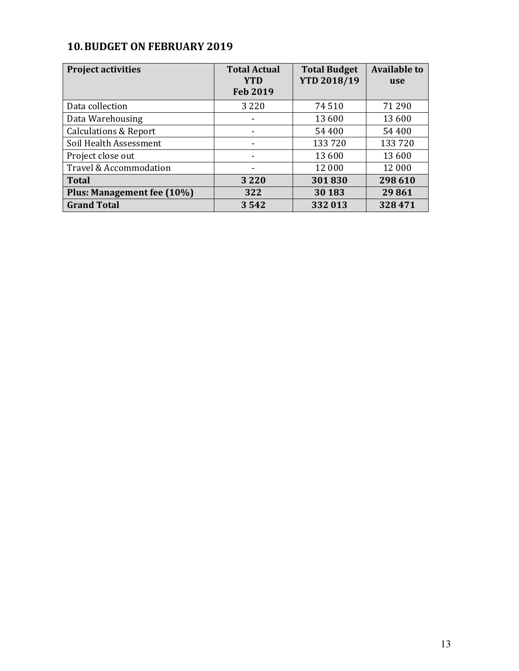## 10.BUDGET ON FEBRUARY 2019

| <b>Project activities</b>        | <b>Total Actual</b><br><b>YTD</b><br><b>Feb 2019</b> | <b>Total Budget</b><br><b>YTD 2018/19</b> | <b>Available to</b><br>use |
|----------------------------------|------------------------------------------------------|-------------------------------------------|----------------------------|
| Data collection                  | 3 2 2 0                                              | 74510                                     | 71 290                     |
| Data Warehousing                 |                                                      | 13 600                                    | 13 600                     |
| <b>Calculations &amp; Report</b> |                                                      | 54 400                                    | 54 400                     |
| Soil Health Assessment           |                                                      | 133720                                    | 133720                     |
| Project close out                |                                                      | 13 600                                    | 13 600                     |
| Travel & Accommodation           |                                                      | 12 000                                    | 12 000                     |
| <b>Total</b>                     | 3 2 2 0                                              | 301830                                    | 298 610                    |
| Plus: Management fee (10%)       | 322                                                  | 30 183                                    | 29861                      |
| <b>Grand Total</b>               | 3542                                                 | 332 013                                   | 328471                     |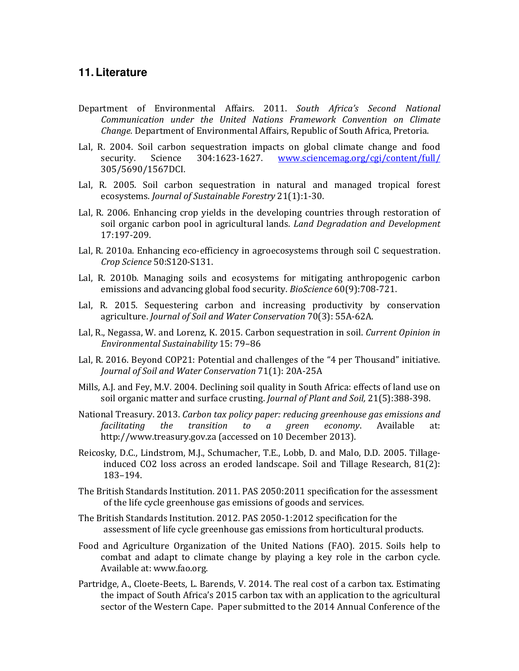#### **11. Literature**

- Department of Environmental Affairs. 2011. South Africa's Second National Communication under the United Nations Framework Convention on Climate Change. Department of Environmental Affairs, Republic of South Africa, Pretoria.
- Lal, R. 2004. Soil carbon sequestration impacts on global climate change and food security. Science 304:1623-1627. www.sciencemag.org/cgi/content/full/ 305/5690/1567DCI.
- Lal, R. 2005. Soil carbon sequestration in natural and managed tropical forest ecosystems. Journal of Sustainable Forestry 21(1):1-30.
- Lal, R. 2006. Enhancing crop yields in the developing countries through restoration of soil organic carbon pool in agricultural lands. Land Degradation and Development 17:197-209.
- Lal, R. 2010a. Enhancing eco-efficiency in agroecosystems through soil C sequestration. Crop Science 50:S120-S131.
- Lal, R. 2010b. Managing soils and ecosystems for mitigating anthropogenic carbon emissions and advancing global food security. BioScience 60(9):708-721.
- Lal, R. 2015. Sequestering carbon and increasing productivity by conservation agriculture. Journal of Soil and Water Conservation 70(3): 55A-62A.
- Lal, R., Negassa, W. and Lorenz, K. 2015. Carbon sequestration in soil. Current Opinion in Environmental Sustainability 15: 79–86
- Lal, R. 2016. Beyond COP21: Potential and challenges of the "4 per Thousand" initiative. Journal of Soil and Water Conservation 71(1): 20A-25A
- Mills, A.J. and Fey, M.V. 2004. Declining soil quality in South Africa: effects of land use on soil organic matter and surface crusting. Journal of Plant and Soil, 21(5):388-398.
- National Treasury. 2013. Carbon tax policy paper: reducing greenhouse gas emissions and facilitating the transition to a green economy. Available at: http://www.treasury.gov.za (accessed on 10 December 2013).
- Reicosky, D.C., Lindstrom, M.J., Schumacher, T.E., Lobb, D. and Malo, D.D. 2005. Tillageinduced CO2 loss across an eroded landscape. Soil and Tillage Research, 81(2): 183–194.
- The British Standards Institution. 2011. PAS 2050:2011 specification for the assessment of the life cycle greenhouse gas emissions of goods and services.
- The British Standards Institution. 2012. PAS 2050-1:2012 specification for the assessment of life cycle greenhouse gas emissions from horticultural products.
- Food and Agriculture Organization of the United Nations (FAO). 2015. Soils help to combat and adapt to climate change by playing a key role in the carbon cycle. Available at: www.fao.org.
- Partridge, A., Cloete-Beets, L. Barends, V. 2014. The real cost of a carbon tax. Estimating the impact of South Africa's 2015 carbon tax with an application to the agricultural sector of the Western Cape. Paper submitted to the 2014 Annual Conference of the